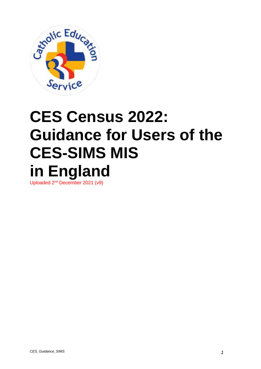

# **CES Census 2022: Guidance for Users of the CES-SIMS MIS in England**

Uploaded 2<sup>nd</sup> December 2021 (v9)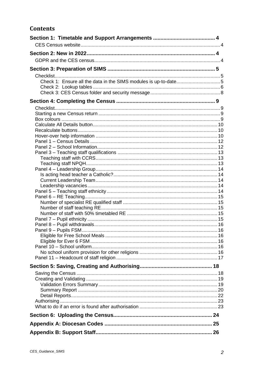### **Contents**

| Check 1: Ensure all the data in the SIMS modules is up-to-date5 |  |
|-----------------------------------------------------------------|--|
|                                                                 |  |
|                                                                 |  |
|                                                                 |  |
|                                                                 |  |
|                                                                 |  |
|                                                                 |  |
|                                                                 |  |
|                                                                 |  |
|                                                                 |  |
|                                                                 |  |
|                                                                 |  |
|                                                                 |  |
|                                                                 |  |
|                                                                 |  |
|                                                                 |  |
|                                                                 |  |
|                                                                 |  |
|                                                                 |  |
|                                                                 |  |
|                                                                 |  |
|                                                                 |  |
|                                                                 |  |
|                                                                 |  |
|                                                                 |  |
|                                                                 |  |
|                                                                 |  |
|                                                                 |  |
|                                                                 |  |
|                                                                 |  |
|                                                                 |  |
|                                                                 |  |
|                                                                 |  |
|                                                                 |  |
|                                                                 |  |
|                                                                 |  |
|                                                                 |  |
|                                                                 |  |
|                                                                 |  |
|                                                                 |  |
|                                                                 |  |
|                                                                 |  |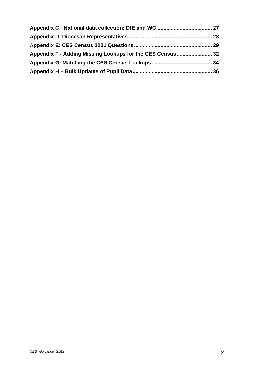| Appendix F - Adding Missing Lookups for the CES Census 32 |  |
|-----------------------------------------------------------|--|
|                                                           |  |
|                                                           |  |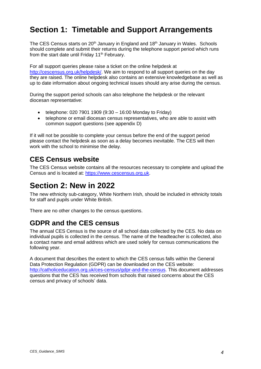# <span id="page-3-0"></span>**Section 1: Timetable and Support Arrangements**

The CES Census starts on 20<sup>th</sup> January in England and 18<sup>th</sup> January in Wales. Schools should complete and submit their returns during the telephone support period which runs from the start date until Friday 11<sup>th</sup> February.

For all support queries please raise a ticket on the online helpdesk at [http://cescensus.org.uk/helpdesk/.](http://cescensus.org.uk/helpdesk/) We aim to respond to all support queries on the day they are raised. The online helpdesk also contains an extensive knowledgebase as well as up to date information about ongoing technical issues should any arise during the census.

During the support period schools can also telephone the helpdesk or the relevant diocesan representative:

- telephone: 020 7901 1909 (9:30 16:00 Monday to Friday)
- telephone or email diocesan census representatives, who are able to assist with common support questions (see appendix D)

If it will not be possible to complete your census before the end of the support period please contact the helpdesk as soon as a delay becomes inevitable. The CES will then work with the school to minimise the delay.

### <span id="page-3-1"></span>**CES Census website**

The CES Census website contains all the resources necessary to complete and upload the Census and is located at: [https://www.cescensus.org.uk.](https://www.cescensus.org.uk/)

# <span id="page-3-2"></span>**Section 2: New in 2022**

The new ethnicity sub-category, White Northern Irish, should be included in ethnicity totals for staff and pupils under White British.

There are no other changes to the census questions.

### <span id="page-3-3"></span>**GDPR and the CES census**

The annual CES Census is the source of all school data collected by the CES. No data on individual pupils is collected in the census. The name of the headteacher is collected, also a contact name and email address which are used solely for census communications the following year.

A document that describes the extent to which the CES census falls within the General Data Protection Regulation (GDPR) can be downloaded on the CES website: [http://catholiceducation.org.uk/ces-census/gdpr-and-the-census.](http://catholiceducation.org.uk/ces-census/gdpr-and-the-census) This document addresses questions that the CES has received from schools that raised concerns about the CES census and privacy of schools' data.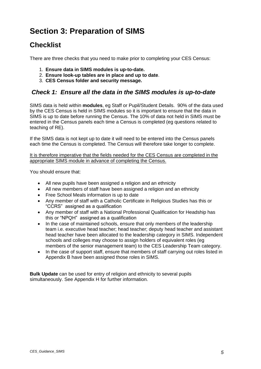# <span id="page-4-0"></span>**Section 3: Preparation of SIMS**

### <span id="page-4-1"></span>**Checklist**

There are three checks that you need to make prior to completing your CES Census:

- 1. **Ensure data in SIMS modules is up-to-date.**
- 2. **Ensure look-up tables are in place and up to date**.
- 3. **CES Census folder and security message.**

#### <span id="page-4-2"></span>*Check 1: Ensure all the data in the SIMS modules is up-to-date*

SIMS data is held within **modules**, eg Staff or Pupil/Student Details. 90% of the data used by the CES Census is held in SIMS modules so it is important to ensure that the data in SIMS is up to date before running the Census. The 10% of data not held in SIMS must be entered in the Census panels each time a Census is completed (eg questions related to teaching of RE).

If the SIMS data is not kept up to date it will need to be entered into the Census panels each time the Census is completed. The Census will therefore take longer to complete.

It is therefore imperative that the fields needed for the CES Census are completed in the appropriate SIMS module in advance of completing the Census.

You should ensure that:

- All new pupils have been assigned a religion and an ethnicity
- All new members of staff have been assigned a religion and an ethnicity
- Free School Meals information is up to date
- Any member of staff with a Catholic Certificate in Religious Studies has this or "CCRS" assigned as a qualification
- Any member of staff with a National Professional Qualification for Headship has this or "NPQH" assigned as a qualification
- In the case of maintained schools, ensure that only members of the leadership team i.e. executive head teacher; head teacher; deputy head teacher and assistant head teacher have been allocated to the leadership category in SIMS. Independent schools and colleges may choose to assign holders of equivalent roles (eg members of the senior management team) to the CES Leadership Team category.
- In the case of support staff, ensure that members of staff carrying out roles listed in Appendix B have been assigned those roles in SIMS.

**Bulk Update** can be used for entry of religion and ethnicity to several pupils simultaneously. See Appendix H for further information.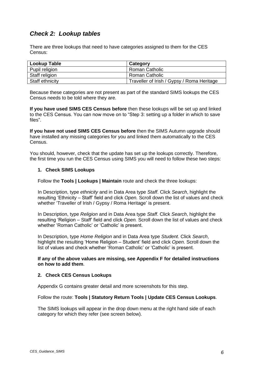#### <span id="page-5-0"></span>*Check 2: Lookup tables*

There are three lookups that need to have categories assigned to them for the CES Census:

| <b>Lookup Table</b> | Category                                   |
|---------------------|--------------------------------------------|
| Pupil religion      | Roman Catholic                             |
| Staff religion      | Roman Catholic                             |
| Staff ethnicity     | Traveller of Irish / Gypsy / Roma Heritage |

Because these categories are not present as part of the standard SIMS lookups the CES Census needs to be told where they are.

**If you have used SIMS CES Census before** then these lookups will be set up and linked to the CES Census. You can now move on to "Step 3: setting up a folder in which to save files".

**If you have not used SIMS CES Census before** then the SIMS Autumn upgrade should have installed any missing categories for you and linked them automatically to the CES Census.

You should, however, check that the update has set up the lookups correctly. Therefore, the first time you run the CES Census using SIMS you will need to follow these two steps:

#### **1. Check SIMS Lookups**

Follow the **Tools | Lookups | Maintain** route and check the three lookups:

In Description, type *ethnicity* and in Data Area type *Staff*. Click *Search*, highlight the resulting 'Ethnicity – Staff' field and click *Open.* Scroll down the list of values and check whether 'Traveller of Irish / Gypsy / Roma Heritage' is present.

In Description, type *Religion* and in Data Area type *Staff*. Click *Search*, highlight the resulting 'Religion – Staff' field and click *Open.* Scroll down the list of values and check whether 'Roman Catholic' or 'Catholic' is present.

In Description, type *Home Religion* and in Data Area type *Student*. Click *Search*, highlight the resulting 'Home Religion – Student' field and click *Open.* Scroll down the list of values and check whether 'Roman Catholic' or 'Catholic' is present.

#### **If any of the above values are missing, see Appendix F for detailed instructions on how to add them**.

#### **2. Check CES Census Lookups**

Appendix G contains greater detail and more screenshots for this step.

#### Follow the route: **Tools | Statutory Return Tools | Update CES Census Lookups**.

The SIMS lookups will appear in the drop down menu at the right hand side of each category for which they refer (see screen below).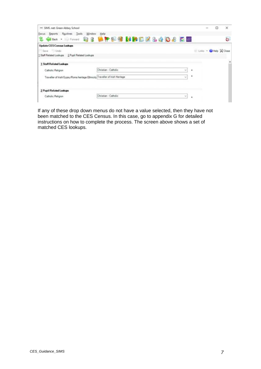| - SIMS .net: Green Abbey School<br>Focus Reports Routines Tools Window       | Help                                                                |   |                      | $\sim$ | о | ×  |
|------------------------------------------------------------------------------|---------------------------------------------------------------------|---|----------------------|--------|---|----|
|                                                                              | <b>Grand - Horman &amp; 8 LIP HIS MINGE &amp; &amp; 0 &amp; E E</b> |   |                      |        |   | Ġ. |
| <b>Update CES Census Lookups</b>                                             |                                                                     |   |                      |        |   |    |
| Save Undo                                                                    |                                                                     |   | Links - Help & Close |        |   |    |
| 1 Staff Related Lookups 2 Pupil Related Lookups                              |                                                                     |   |                      |        |   |    |
| 1 Staff Related Lookups                                                      |                                                                     |   |                      |        |   |    |
| Catholic Religion                                                            | Christian - Catholic<br>w                                           | ٠ |                      |        |   |    |
| Traveller of Irish/Gypsy/Roma heritage Ethnicity Traveller of Irish Heritage | $\mathcal{M}$                                                       | ٠ |                      |        |   |    |
|                                                                              |                                                                     |   |                      |        |   |    |
| <b>2 Pupil Related Lookups</b>                                               |                                                                     |   |                      |        |   |    |
| Catholic Religion                                                            | Christian - Catholic                                                | ٠ |                      |        |   |    |

If any of these drop down menus do not have a value selected, then they have not been matched to the CES Census. In this case, go to appendix G for detailed instructions on how to complete the process. The screen above shows a set of matched CES lookups.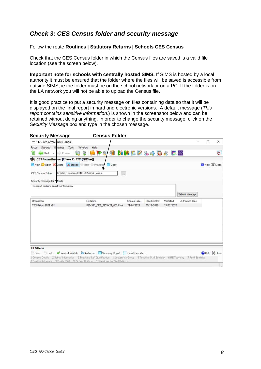#### <span id="page-7-0"></span>*Check 3: CES Census folder and security message*

#### Follow the route **Routines | Statutory Returns | Schools CES Census**

Check that the CES Census folder in which the Census files are saved is a valid file location (see the screen below).

**Important note for schools with centrally hosted SIMS.** If SIMS is hosted by a local authority it must be ensured that the folder where the files will be saved is accessible from outside SIMS, ie the folder must be on the school network or on a PC. If the folder is on the LA network you will not be able to upload the Census file.

It is good practice to put a security message on files containing data so that it will be displayed on the final report in hard and electronic versions. A default message (*This report contains sensitive information*.) is shown in the screenshot below and can be retained without doing anything. In order to change the security message, click on the *Security Message* box and type in the chosen message.

| <b>Security Message</b>                                                     |                                                                                                  | <b>Census Folder</b>                                                                                                                               |             |              |            |                 |   |              |
|-----------------------------------------------------------------------------|--------------------------------------------------------------------------------------------------|----------------------------------------------------------------------------------------------------------------------------------------------------|-------------|--------------|------------|-----------------|---|--------------|
| SIMS .net Green Abbey School                                                |                                                                                                  |                                                                                                                                                    |             |              |            |                 | П | ×            |
| Focus<br>Back .                                                             | Reports Routines Tools<br>Window<br>ЪQ<br>Forward<br>黛                                           | Help<br>A P & O & B & B & D & E &                                                                                                                  |             |              |            |                 |   | è.           |
|                                                                             | CES Return Browser [Fileset ID: 1700 (SIMS.net)]<br>New Copen Colete Delete Browse Next Previous | Copy                                                                                                                                               |             |              |            |                 |   | Help & Close |
| <b>CES Census Folder</b>                                                    | C:\SIMS Returns\2011EGA\School Census                                                            | $\overline{\phantom{a}}$                                                                                                                           |             |              |            |                 |   |              |
| Security message for Poports<br>This report contains sensitive information. |                                                                                                  |                                                                                                                                                    |             |              |            |                 |   |              |
|                                                                             |                                                                                                  |                                                                                                                                                    |             |              |            |                 |   |              |
|                                                                             |                                                                                                  |                                                                                                                                                    |             |              |            | Default Message |   |              |
| Description                                                                 |                                                                                                  | File Name                                                                                                                                          | Census Date | Date Created | Validated  | Authorised Date |   |              |
| CES Return 2021 v01                                                         |                                                                                                  | 8234321 CES 823XX21 001.UNA                                                                                                                        | 21/01/2021  | 15/12/2020   | 15/12/2020 |                 |   |              |
|                                                                             |                                                                                                  |                                                                                                                                                    |             |              |            |                 |   |              |
|                                                                             |                                                                                                  |                                                                                                                                                    |             |              |            |                 |   |              |
|                                                                             |                                                                                                  |                                                                                                                                                    |             |              |            |                 |   |              |
|                                                                             |                                                                                                  |                                                                                                                                                    |             |              |            |                 |   |              |
| <b>CES Detail</b>                                                           |                                                                                                  |                                                                                                                                                    |             |              |            |                 |   |              |
|                                                                             |                                                                                                  | Save Undo Create & Validate Authorise Summary Report E Detail Reports .                                                                            |             |              |            |                 |   | Help & Close |
|                                                                             |                                                                                                  | 1 Census Details 2 School Information 3 Teaching Staff Qualification 4 Leadership Group 5 Teaching Staff Ethnicity 6 RE Teaching 7 Pupil Ethnicity |             |              |            |                 |   |              |
|                                                                             |                                                                                                  | 8 Pupil Virthdrawals 9 Pupils FSM 10 School Uniform 11 Headcount of Staff Religion                                                                 |             |              |            |                 |   |              |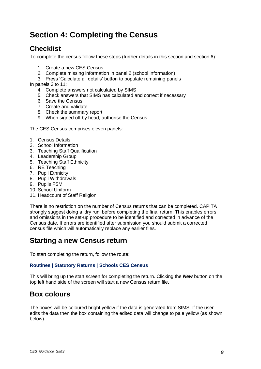# <span id="page-8-0"></span>**Section 4: Completing the Census**

### <span id="page-8-1"></span>**Checklist**

To complete the census follow these steps (further details in this section and section 6):

- 1. Create a new CES Census
- 2. Complete missing information in panel 2 (school information)
- 3. Press 'Calculate all details' button to populate remaining panels

In panels 3 to 11:

- 4. Complete answers not calculated by SIMS
- 5. Check answers that SIMS has calculated and correct if necessary
- 6. Save the Census
- 7. Create and validate
- 8. Check the summary report
- 9. When signed off by head, authorise the Census

The CES Census comprises eleven panels:

- 1. Census Details
- 2. School Information
- 3. Teaching Staff Qualification
- 4. Leadership Group
- 5. Teaching Staff Ethnicity
- 6. RE Teaching
- 7. Pupil Ethnicity
- 8. Pupil Withdrawals
- 9. Pupils FSM
- 10. School Uniform
- 11. Headcount of Staff Religion

There is no restriction on the number of Census returns that can be completed. CAPITA strongly suggest doing a 'dry run' before completing the final return. This enables errors and omissions in the set-up procedure to be identified and corrected in advance of the Census date. If errors are identified after submission you should submit a corrected census file which will automatically replace any earlier files.

### <span id="page-8-2"></span>**Starting a new Census return**

To start completing the return, follow the route:

#### **Routines | Statutory Returns | Schools CES Census**

This will bring up the start screen for completing the return. Clicking the *New* button on the top left hand side of the screen will start a new Census return file.

### <span id="page-8-3"></span>**Box colours**

The boxes will be coloured bright yellow if the data is generated from SIMS. If the user edits the data then the box containing the edited data will change to pale yellow (as shown below).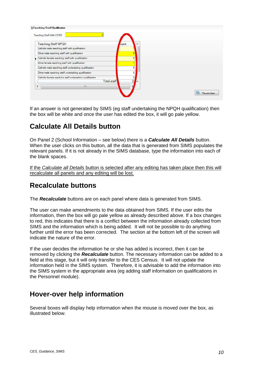| Teaching Staff With CCRS                     |                                                          |             |                |                  |
|----------------------------------------------|----------------------------------------------------------|-------------|----------------|------------------|
| <b>Teaching Staff NPQH</b>                   |                                                          | Jount       |                |                  |
|                                              | Catholic male teaching staff with qualification          |             |                |                  |
| Other male teaching staff with qualification |                                                          |             |                |                  |
|                                              | Catholic female teaching staff with qualification        |             | $\bf{0}$       |                  |
|                                              | Other female teaching staff with qualification           |             |                |                  |
|                                              | Catholic male teaching staff undertaking qualification   |             | n              |                  |
|                                              | Other male teaching staff undertaking qualification      |             | 0              |                  |
|                                              | Catholic female teaching staff undertaking qualification |             | 0              |                  |
|                                              |                                                          | Total staff | $\overline{2}$ |                  |
|                                              | Ш                                                        |             |                |                  |
|                                              |                                                          |             |                | œ<br>Recalculate |

If an answer is not generated by SIMS (eg staff undertaking the NPQH qualification) then the box will be white and once the user has edited the box, it will go pale yellow.

### <span id="page-9-0"></span>**Calculate All Details button**

On Panel 2 (School Information – see below) there is a *Calculate All Details* button. When the user clicks on this button, all the data that is generated from SIMS populates the relevant panels. If it is not already in the SIMS database, type the information into each of the blank spaces.

If the *Calculate all Details* button is selected after any editing has taken place then this will recalculate all panels and any editing will be lost.

### <span id="page-9-1"></span>**Recalculate buttons**

The *Recalculate* buttons are on each panel where data is generated from SIMS.

The user can make amendments to the data obtained from SIMS. If the user edits the information, then the box will go pale yellow as already described above. If a box changes to red, this indicates that there is a conflict between the information already collected from SIMS and the information which is being added. It will not be possible to do anything further until the error has been corrected. The section at the bottom left of the screen will indicate the nature of the error.

If the user decides the information he or she has added is incorrect, then it can be removed by clicking the *Recalculate* button. The necessary information can be added to a field at this stage, but it will only transfer to the CES Census. It will not update the information held in the SIMS system. Therefore, it is advisable to add the information into the SIMS system in the appropriate area (eg adding staff information on qualifications in the Personnel module).

### <span id="page-9-2"></span>**Hover-over help information**

Several boxes will display help information when the mouse is moved over the box, as illustrated below.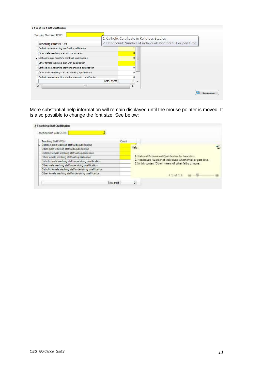| Teaching Staff With CCRS                                 |                    |                | 1. Catholic Certificate in Religious Studies.                  |  |
|----------------------------------------------------------|--------------------|----------------|----------------------------------------------------------------|--|
| <b>Teaching Staff NPQH</b>                               |                    |                | 2. Headcount: Number of individuals whether full or part time. |  |
| Catholic male teaching staff with qualification          |                    |                |                                                                |  |
| Other male teaching staff with qualification             |                    |                |                                                                |  |
| Catholic female teaching staff with qualification        |                    | $\overline{0}$ | Ξ                                                              |  |
| Other female teaching staff with qualification           |                    |                |                                                                |  |
| Catholic male teaching staff undertaking qualification   |                    | $\Omega$       |                                                                |  |
| Other male teaching staff undertaking qualification      |                    | 0              |                                                                |  |
| Catholic female teaching staff undertaking qualification |                    | 0              |                                                                |  |
|                                                          | <b>Total staff</b> | $\overline{2}$ | $\overline{\mathbf{v}}$                                        |  |
| Ш                                                        |                    |                |                                                                |  |

More substantial help information will remain displayed until the mouse pointer is moved. It is also possible to change the font size. See below:

| Teaching Staff NEGH                                      | Count.                                                                                                                      |  |  |  |
|----------------------------------------------------------|-----------------------------------------------------------------------------------------------------------------------------|--|--|--|
| Catholic male teaching staff with qualification          |                                                                                                                             |  |  |  |
| Other male teaching staff with qualification             | Help                                                                                                                        |  |  |  |
| Catholic female teaching staff with qualification        |                                                                                                                             |  |  |  |
| Other female teaching staff with qualification           | 1. National Professional Quastication for headship.                                                                         |  |  |  |
| Catholic male teaching staff undertaking qualification   | 2. Headcount: Number of individuals whether full or part time.<br>3. In this context 'Other' means of other faiths or none. |  |  |  |
| Other male teaching staff undertaking qualification      |                                                                                                                             |  |  |  |
| Catholic female teaching staff undertaking qualification |                                                                                                                             |  |  |  |
| Other female teaching staff undertaking qualification    | 41 at 1                                                                                                                     |  |  |  |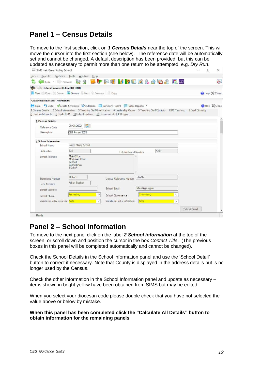### <span id="page-11-0"></span>**Panel 1 – Census Details**

To move to the first section, click on *1 Census Details* near the top of the screen. This will move the cursor into the first section (see below). The reference date will be automatically set and cannot be changed. A default description has been provided, but this can be updated as necessary to permit more than one return to be attempted, e.g. *Dry Run*.

| SIMS .net: Green Abbey School              |                                                                        |                                                                                                                                                                                                                                          |                  |      |                      | $\Box$ | ×             |
|--------------------------------------------|------------------------------------------------------------------------|------------------------------------------------------------------------------------------------------------------------------------------------------------------------------------------------------------------------------------------|------------------|------|----------------------|--------|---------------|
| Reports Routines Tools Window<br>Focus     |                                                                        | $H \circ p$                                                                                                                                                                                                                              |                  |      |                      |        |               |
|                                            |                                                                        | Fax · Directed & 8 GP 5 9 MBC 2 & 4 D & E 50                                                                                                                                                                                             |                  |      |                      |        | Ò.            |
| <b>CES Return Browser Fileset ID: 2001</b> |                                                                        |                                                                                                                                                                                                                                          |                  |      |                      |        |               |
| New Open Delere Norwan Next Previous Copy  |                                                                        |                                                                                                                                                                                                                                          |                  |      |                      |        | Close X Close |
| <b>CES Return Details - New Return</b>     |                                                                        |                                                                                                                                                                                                                                          |                  |      |                      |        |               |
|                                            |                                                                        |                                                                                                                                                                                                                                          |                  |      |                      |        | Hap & Core    |
|                                            |                                                                        | 1 Census Deteils 2 School Information 3 Teaching Staff Qualification 4 Leadership Group 5 Teaching Staff Ethnicity 6 RE Teaching 7 Pupil Ethnicity<br>8 Pupil Withdrawake 9 Pupilla FSM 10 School Uniform 11 Hoodcount of Staff Religion |                  |      |                      |        |               |
| 1 Census Detrils                           |                                                                        |                                                                                                                                                                                                                                          |                  |      |                      |        |               |
| <b>Reference Date</b>                      | 20/01/2022<br>n est                                                    |                                                                                                                                                                                                                                          |                  |      |                      |        |               |
| <b>L'escription</b>                        | CES Return 2022                                                        |                                                                                                                                                                                                                                          |                  |      |                      |        |               |
|                                            |                                                                        |                                                                                                                                                                                                                                          |                  |      |                      |        |               |
| 2 School Information<br>School Name        | Green Abbey School                                                     |                                                                                                                                                                                                                                          |                  |      |                      |        |               |
| LA Number                                  | 823                                                                    |                                                                                                                                                                                                                                          |                  | 4321 |                      |        |               |
| School Address                             | Main O'Fre                                                             | Establishment Number                                                                                                                                                                                                                     |                  |      |                      |        |               |
|                                            | Monkmoor Boad<br>Bedford<br><b>Hedfordshire</b><br>SI <sub>2</sub> SAP |                                                                                                                                                                                                                                          |                  |      |                      |        |               |
|                                            | 851234                                                                 |                                                                                                                                                                                                                                          | 137247           |      |                      |        |               |
| Telephone Number<br>Hearl Teacher          | Adrien Blacker                                                         | Unique Reference Number                                                                                                                                                                                                                  |                  |      |                      |        |               |
| School Wabcita                             |                                                                        | School Erici                                                                                                                                                                                                                             | office@ga.org.uk |      |                      |        |               |
|                                            | Secondary                                                              |                                                                                                                                                                                                                                          | Community        |      |                      |        |               |
| School Phase                               |                                                                        | School Governance                                                                                                                                                                                                                        |                  |      |                      |        |               |
| Gender on entry to school. Both            |                                                                        | Gender on entry to 6th form<br>$\mathcal{A}$                                                                                                                                                                                             | <b>Brth</b>      |      | $\sim$               |        |               |
|                                            |                                                                        |                                                                                                                                                                                                                                          |                  |      | <b>School Detail</b> |        |               |
| Ready                                      |                                                                        |                                                                                                                                                                                                                                          |                  |      |                      |        |               |

### <span id="page-11-1"></span>**Panel 2 – School Information**

To move to the next panel click on the label *2 School information* at the top of the screen, or scroll down and position the cursor in the box *Contact Title*. (The previous boxes in this panel will be completed automatically and cannot be changed).

Check the School Details in the School Information panel and use the 'School Detail' button to correct if necessary. Note that County is displayed in the address details but is no longer used by the Census.

Check the other information in the School Information panel and update as necessary – items shown in bright yellow have been obtained from SIMS but may be edited.

When you select your diocesan code please double check that you have not selected the value above or below by mistake.

**When this panel has been completed click the "Calculate All Details" button to obtain information for the remaining panels**.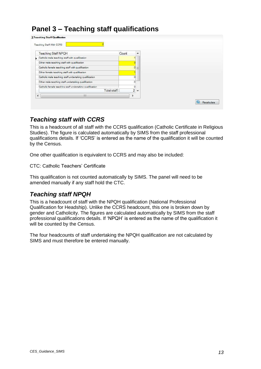# <span id="page-12-0"></span>**Panel 3 – Teaching staff qualifications**

| Teaching Staff With CCRS                                 |       |                |    |  |
|----------------------------------------------------------|-------|----------------|----|--|
| <b>Teaching Staff NPQH</b>                               | Count |                | A. |  |
| Catholic male teaching staff with qualification          |       |                |    |  |
| Other male teaching staff with qualification             |       |                |    |  |
| Catholic female teaching staff with qualification        |       | $\overline{0}$ | 三  |  |
| Other female teaching staff with qualification           |       |                |    |  |
| Catholic male teaching staff undertaking qualification   |       | 0              |    |  |
| Other male teaching staff undertaking qualification      |       | 0              |    |  |
| Catholic female teaching staff undertaking qualification |       | 0              |    |  |
| Total staff                                              |       | $2 -$          |    |  |
| Ш                                                        |       |                |    |  |

#### <span id="page-12-1"></span>*Teaching staff with CCRS*

This is a headcount of all staff with the CCRS qualification (Catholic Certificate in Religious Studies). The figure is calculated automatically by SIMS from the staff professional qualifications details. If 'CCRS' is entered as the name of the qualification it will be counted by the Census.

One other qualification is equivalent to CCRS and may also be included:

CTC: Catholic Teachers' Certificate

This qualification is not counted automatically by SIMS. The panel will need to be amended manually if any staff hold the CTC.

#### <span id="page-12-2"></span>*Teaching staff NPQH*

This is a headcount of staff with the NPQH qualification (National Professional Qualification for Headship). Unlike the CCRS headcount, this one is broken down by gender and Catholicity. The figures are calculated automatically by SIMS from the staff professional qualifications details. If 'NPQH' is entered as the name of the qualification it will be counted by the Census.

The four headcounts of staff undertaking the NPQH qualification are not calculated by SIMS and must therefore be entered manually.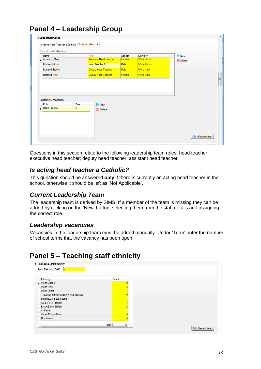| Name                  | Role                   |                               | Gender | Ethnicity            | New                |  |
|-----------------------|------------------------|-------------------------------|--------|----------------------|--------------------|--|
| Anderson Mary         |                        | <b>Assistant Head Teacher</b> | Female | <b>White British</b> | $\mathbb X$ Delete |  |
| <b>Blacker Adrian</b> |                        | Head Teacher1                 | Male   | <b>White British</b> |                    |  |
| <b>Dumbell Steven</b> |                        | Deputy Head Teacher           | Male   | <b>White Irish</b>   |                    |  |
| <b>Hatchett Ruth</b>  |                        | Deputy Head Teacher           | Female | <b>White Irish</b>   |                    |  |
| Leadership Vacancies  |                        |                               |        |                      |                    |  |
| Role<br>Head Teacher1 | Term<br>$\overline{2}$ | New                           |        |                      |                    |  |
|                       |                        | X Delete                      |        |                      |                    |  |
|                       |                        |                               |        |                      |                    |  |
|                       |                        |                               |        |                      |                    |  |

# <span id="page-13-0"></span>**Panel 4 – Leadership Group**

Questions in this section relate to the following leadership team roles: head teacher; executive head teacher; deputy head teacher; assistant head teacher.

#### <span id="page-13-1"></span>*Is acting head teacher a Catholic?*

This question should be answered **only** if there is currently an acting head teacher in the school, otherwise it should be left as 'Not Applicable'.

#### <span id="page-13-2"></span>*Current Leadership Team*

The leadership team is derived by SIMS. If a member of the team is missing they can be added by clicking on the 'New' button, selecting them from the staff details and assigning the correct role.

#### <span id="page-13-3"></span>*Leadership vacancies*

Vacancies in the leadership team must be added manually. Under 'Term' enter the number of school terms that the vacancy has been open.

### <span id="page-13-4"></span>**Panel 5 – Teaching staff ethnicity**

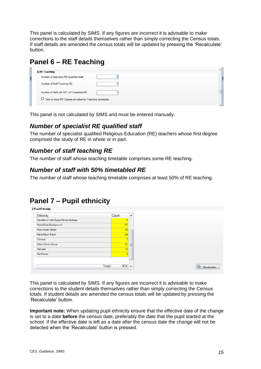This panel is calculated by SIMS. If any figures are incorrect it is advisable to make corrections to the staff details themselves rather than simply correcting the Census totals. If staff details are amended the census totals will be updated by pressing the 'Recalculate' button.

# <span id="page-14-0"></span>**Panel 6 – RE Teaching**

| <b>6 RE Teaching</b>                                      |  |
|-----------------------------------------------------------|--|
| Number of Specialist RE Qualified Staff                   |  |
| Number of Staff Teaching RE                               |  |
| Number of Staff with 50% of Timetabled RE                 |  |
| □ One or more RE Classes are taken by Teaching Assistants |  |
|                                                           |  |

This panel is not calculated by SIMS and must be entered manually.

### <span id="page-14-1"></span>*Number of specialist RE qualified staff*

The number of specialist qualified Religious Education (RE) teachers whose first degree comprised the study of RE in whole or in part.

#### <span id="page-14-2"></span>*Number of staff teaching RE*

<span id="page-14-3"></span>The number of staff whose teaching timetable comprises some RE teaching.

#### *Number of staff with 50% timetabled RE*

The number of staff whose teaching timetable comprises at least 50% of RE teaching.

### <span id="page-14-4"></span>**Panel 7 – Pupil ethnicity**

| Ethnicity                              | Count                   | $\blacktriangle$ |
|----------------------------------------|-------------------------|------------------|
| Traveller of Irish/Gypsy/Roma heritage |                         |                  |
| Mixed/Dual Background                  | 67                      |                  |
| Asian/Asian British                    | 36                      |                  |
| Black/Black British                    | 44                      |                  |
| Chinese                                | $\overline{\tau}$       |                  |
| Other Ethnic Group                     | 21                      | 三                |
| Refused                                | 10                      |                  |
| Not Known                              | $\overline{\mathbf{z}}$ |                  |
|                                        |                         |                  |
|                                        |                         |                  |
| Total                                  | 974                     | $\sim$           |

This panel is calculated by SIMS. If any figures are incorrect it is advisable to make corrections to the student details themselves rather than simply correcting the Census totals. If student details are amended the census totals will be updated by pressing the 'Recalculate' button.

**Important note:** When updating pupil ethnicity ensure that the effective date of the change is set to a date **before** the census date, preferably the date that the pupil started at the school. If the effective date is left as a date after the census date the change will not be detected when the 'Recalculate' button is pressed.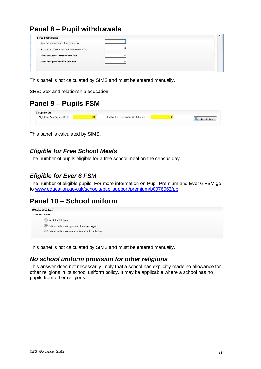# <span id="page-15-0"></span>**Panel 8 – Pupil withdrawals**

| 8 Pupil Withdrawals                           |  |
|-----------------------------------------------|--|
| Total withdrawn from collective worship       |  |
| Y12 and Y13 withdrawn from collective worship |  |
| Number of boys withdrawn from SRE             |  |
| Number of girls withdrawn from SRE            |  |

This panel is not calculated by SIMS and must be entered manually.

SRE: Sex and relationship education.

### <span id="page-15-1"></span>**Panel 9 – Pupils FSM**



This panel is calculated by SIMS.

### <span id="page-15-2"></span>*Eligible for Free School Meals*

The number of pupils eligible for a free school meal on the census day.

#### <span id="page-15-3"></span>*Eligible for Ever 6 FSM*

The number of eligible pupils. For more information on Pupil Premium and Ever 6 FSM go to [www.education.gov.uk/schools/pupilsupport/premium/b0076063/pp.](http://www.education.gov.uk/schools/pupilsupport/premium/b0076063/pp)

### <span id="page-15-4"></span>**Panel 10 – School uniform**



<span id="page-15-5"></span>This panel is not calculated by SIMS and must be entered manually.

#### *No school uniform provision for other religions*

This answer does not necessarily imply that a school has explicitly made no allowance for other religions in its school uniform policy. It may be applicable where a school has no pupils from other religions.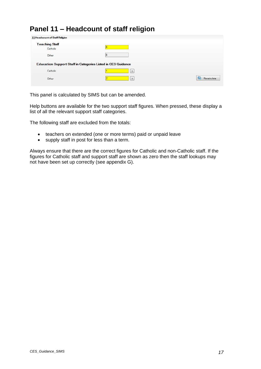### <span id="page-16-0"></span>**Panel 11 – Headcount of staff religion**

| 11 Headcount of Staff Religion    |                                                                     |             |
|-----------------------------------|---------------------------------------------------------------------|-------------|
| <b>Teaching Staff</b><br>Catholic |                                                                     |             |
| Other                             |                                                                     |             |
|                                   | <b>Education Support Staff in Categories Listed in CES Guidance</b> |             |
| Catholic                          | $\overline{ }$                                                      |             |
| <b>Automatical</b><br>Other       | $\sim$                                                              | Recalculate |

This panel is calculated by SIMS but can be amended.

Help buttons are available for the two support staff figures. When pressed, these display a list of all the relevant support staff categories.

The following staff are excluded from the totals:

- teachers on extended (one or more terms) paid or unpaid leave
- supply staff in post for less than a term.

Always ensure that there are the correct figures for Catholic and non-Catholic staff. If the figures for Catholic staff and support staff are shown as zero then the staff lookups may not have been set up correctly (see appendix G).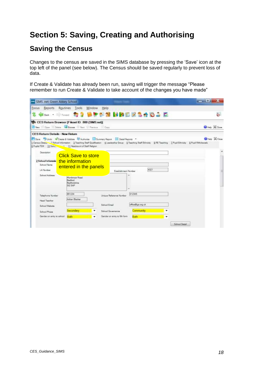# <span id="page-17-0"></span>**Section 5: Saving, Creating and Authorising**

### <span id="page-17-1"></span>**Saving the Census**

Changes to the census are saved in the SIMS database by pressing the 'Save' icon at the top left of the panel (see below). The Census should be saved regularly to prevent loss of data.

If Create & Validate has already been run, saving will trigger the message "Please remember to run Create & Validate to take account of the changes you have made"

| <b>COL</b> SIMS .net. Green Abbey School                                                                                                                                                                                                                                                                                                           |                                                                                                   |                                   |                               |                |                           |
|----------------------------------------------------------------------------------------------------------------------------------------------------------------------------------------------------------------------------------------------------------------------------------------------------------------------------------------------------|---------------------------------------------------------------------------------------------------|-----------------------------------|-------------------------------|----------------|---------------------------|
| Reports<br>Routines<br><b>Focus</b>                                                                                                                                                                                                                                                                                                                | Window<br>Tools                                                                                   | Help                              |                               |                | ò.                        |
|                                                                                                                                                                                                                                                                                                                                                    | O CES Return Browser [Fileset ID: 800 (SIMS.net)]<br>New Ciper Delain & Browse Mast Presince Copy |                                   |                               |                | <b>WHele &amp; Class</b>  |
| <b>CES Return Details - New Return</b><br>Save Unde Create & Validate C Authorize Summary Reson E Detail Reports .<br>1 Cansus Data 1 School Information 1 Teaching Staff Qualification 4 Leadership Group 5 Teaching Staff Ethnicity 6 RE Teaching 7 Pupil Ethnicity 8 Pupil Withdrawals<br>9 Pupils FSM 19 Salton 11 Headcount of Staff Religion |                                                                                                   |                                   |                               |                | <b>Bristo &amp; Close</b> |
| Description                                                                                                                                                                                                                                                                                                                                        | <b>Click Save to store</b>                                                                        |                                   |                               |                |                           |
| 2 School Informatio<br>School Name<br>LA Number                                                                                                                                                                                                                                                                                                    | the information<br>entered in the panels                                                          | Establishment Number              | 4321                          |                | 뿤                         |
| School Address                                                                                                                                                                                                                                                                                                                                     | Monkmoor Road<br><b>Bachvall</b><br>Bedfordshire<br><b>SIZ SAP</b>                                |                                   | ×                             |                |                           |
| Telephone Number<br><b>Haad Taacher</b>                                                                                                                                                                                                                                                                                                            | 851234<br>Arhian Blacker                                                                          | Unique Reference Number           | 012345                        |                |                           |
| School Wahats                                                                                                                                                                                                                                                                                                                                      | Secondary<br>٠                                                                                    | School Email<br>School Governance | office@ga.org.uk<br>Community | ٠              |                           |
| Sehool Phase<br>Gender on entry to school                                                                                                                                                                                                                                                                                                          | Both<br>۰                                                                                         | Gender on errory to fith form     | Both                          | $\cdot$        |                           |
|                                                                                                                                                                                                                                                                                                                                                    |                                                                                                   |                                   |                               | School Dirtsil |                           |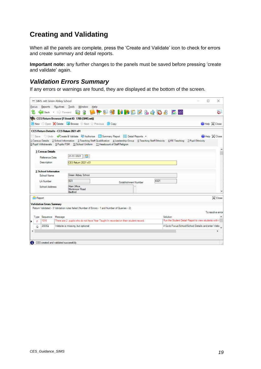## <span id="page-18-0"></span>**Creating and Validating**

When all the panels are complete, press the 'Create and Validate' icon to check for errors and create summary and detail reports.

**Important note:** any further changes to the panels must be saved before pressing 'create and validate' again.

#### <span id="page-18-1"></span>*Validation Errors Summary*

If any errors or warnings are found, they are displayed at the bottom of the screen.

| SIMS .net Green Abbey School            |                                                                                                                                                                                                                                         | П<br>×                                                |  |
|-----------------------------------------|-----------------------------------------------------------------------------------------------------------------------------------------------------------------------------------------------------------------------------------------|-------------------------------------------------------|--|
| Reports<br>Focus                        | Routines Tools Window<br>Help                                                                                                                                                                                                           |                                                       |  |
|                                         | <b>Q 3 LIFES HIRLES 408 EE</b><br>Back . Forward                                                                                                                                                                                        | èr                                                    |  |
|                                         | CES Return Browser [Fileset ID: 1700 (SIMS.net)]                                                                                                                                                                                        |                                                       |  |
|                                         | New Open Colete La Browse Next Previous Copy                                                                                                                                                                                            | Help X Close                                          |  |
|                                         | CES Return Details - CES Return 2021 v01                                                                                                                                                                                                |                                                       |  |
|                                         | Save Undo Create & Validate Authorise Summary Report E Detail Reports .                                                                                                                                                                 | Help & Close                                          |  |
|                                         | 1 Census Details 2 School Information 3 Teaching Staff Qualification 4 Leadership Group 5 Teaching Staff Ethnicity 6 RE Teaching 7 Pupil Ethnicity<br>8 Pupil Withdrawals 9 Pupils FSM 10 School Uniform 11 Headcount of Staff Religion |                                                       |  |
| 1 Census Details                        |                                                                                                                                                                                                                                         |                                                       |  |
| Reference Date                          | 21/01/2021<br><b>INGL</b>                                                                                                                                                                                                               |                                                       |  |
| <b>Description</b>                      | CES Return 2021 v01                                                                                                                                                                                                                     |                                                       |  |
| 2 School Information                    |                                                                                                                                                                                                                                         |                                                       |  |
| School Name                             | Green Abbey School                                                                                                                                                                                                                      |                                                       |  |
| LA Number                               | 4321<br>823<br>Establishment Number                                                                                                                                                                                                     |                                                       |  |
| School Address                          | Main Office<br>Monkmoor Road<br>Bedford                                                                                                                                                                                                 |                                                       |  |
| Report                                  |                                                                                                                                                                                                                                         | X Close                                               |  |
| <b>Validation Errors Summary</b>        |                                                                                                                                                                                                                                         |                                                       |  |
|                                         | Return Validated - 3 Validation rules failed (Number of Errors - 1 and Number of Queries - 2)                                                                                                                                           |                                                       |  |
|                                         |                                                                                                                                                                                                                                         | To resolve error                                      |  |
| Sequence<br>Type                        | Solution<br>Message                                                                                                                                                                                                                     |                                                       |  |
| 1016<br>p.                              | There are 2 pupils who do not have Year Taught in recorded on their student record.                                                                                                                                                     | Run the Student Detail Report to view students with r |  |
| 2003Q<br>Q                              | Website is missing, but optional                                                                                                                                                                                                        | # Go to Focus School School Details and enter Webs    |  |
| e                                       |                                                                                                                                                                                                                                         | $\overline{\phantom{1}}$                              |  |
|                                         |                                                                                                                                                                                                                                         |                                                       |  |
| CES created and validated successfully. |                                                                                                                                                                                                                                         |                                                       |  |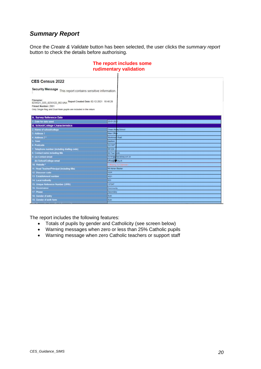#### <span id="page-19-0"></span>*Summary Report*

Once the *Create & Validate* button has been selected, the user clicks the *summary report* button to check the details before authorising.

| CES Census 2022                                                                                                                                                 |                          |
|-----------------------------------------------------------------------------------------------------------------------------------------------------------------|--------------------------|
| Security Message This report contains sensitive information.                                                                                                    |                          |
| 8234321_CES_823XX22_002.UNA Report Created Date: 02-12-2021 10:40:26<br>Fileset Number: 2001<br>Only Single Reg and Dual Main pupils are included in the return |                          |
|                                                                                                                                                                 |                          |
| <b>A. Survey Reference Date</b>                                                                                                                                 |                          |
| 1. Date for data used                                                                                                                                           | 20-01-20                 |
| <b>B. School/College Characteristics</b>                                                                                                                        |                          |
| Mame of school/college                                                                                                                                          | Green Abley School       |
| Address                                                                                                                                                         | Main Offs                |
| Address 2*                                                                                                                                                      | Monkmody Road            |
| Town                                                                                                                                                            | Bedford                  |
| Postcode                                                                                                                                                        | Siz MP                   |
| Telephone number (including dialing code)                                                                                                                       | 851234                   |
| Contact name including the                                                                                                                                      | Mr Fred Smith            |
| (a) Contact email                                                                                                                                               | familh@greenabbey.sch.uk |
| (b) School/College email                                                                                                                                        | office@gilliong.uk       |
| 10. Website *                                                                                                                                                   | - Massing, Jack Communi- |
| 11. Head Teacher/Principal (including title)                                                                                                                    | <b>Mr Adrian Blacker</b> |
| 12. Diocesan code                                                                                                                                               | <b>ROM</b>               |
| 13 Establishment number                                                                                                                                         | 4321                     |
| 14 Local Authority                                                                                                                                              | 823                      |
| 15. Unique Reference Number (URN)                                                                                                                               | 137247                   |
| 16 Governance                                                                                                                                                   | Community                |
| 17. Phase                                                                                                                                                       | Secondary                |
| 18 Gender of entry                                                                                                                                              | Both                     |
| 19. Gender of sixth form                                                                                                                                        | Body                     |
|                                                                                                                                                                 |                          |

#### **The report includes some rudimentary validation**

The report includes the following features:

- Totals of pupils by gender and Catholicity (see screen below)
- Warning messages when zero or less than 25% Catholic pupils
- Warning message when zero Catholic teachers or support staff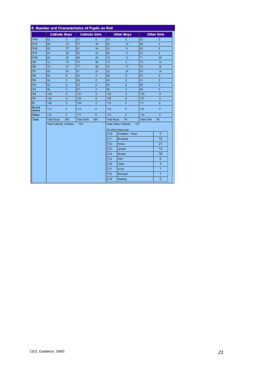|                | <b>Catholic Boys</b>     |                |                     | <b>Catholic Girls</b> |                    | <b>Other Boys</b>                                                 |                     | <b>Other Girls</b> |
|----------------|--------------------------|----------------|---------------------|-----------------------|--------------------|-------------------------------------------------------------------|---------------------|--------------------|
| Y14            | 52                       | ō              | 53.                 | ō                     | 54.                | o                                                                 | 55.                 | ō                  |
| Y13            | 56.                      | 32             | 57.                 | 43                    | 58.                | 10                                                                | 59.                 | 4                  |
| Y12            | 60.                      | 27             | 61.                 | 34                    | 62.                | 11                                                                | 63.                 | 8                  |
| Y11            | 64                       | 58             | 65.                 | 81                    | 66.                | 13                                                                | 67                  | g.                 |
| <b>Y10</b>     | 68                       | 63             | 69.                 | 55                    | 70.                | 12                                                                | 71.                 | 29                 |
| Y9             | 72                       | 75             | 73.                 | 66                    | 74.                | $\overline{\mathbf{s}}$                                           | 75.                 | 14                 |
| Y8             | 76                       | 67             | 77                  | 59                    | 78.                | 17                                                                | 79.                 | 16                 |
| Y7             | 80                       | 63             | 81                  | 61                    | 82.                | 16                                                                | 83.                 | 19                 |
| Y6             | 84                       | o              | 85.                 | o                     | 86.                | o                                                                 | 87.                 | ō                  |
| Y <sub>5</sub> | 88.                      | O              | 89.                 | ò                     | 90.                | o                                                                 | 91                  | ō                  |
| <b>Y4</b>      | 92                       | o              | 93.                 | ō                     | 94.                | ö                                                                 | 95.                 | ō                  |
| Y3             | 96                       | $\overline{0}$ | 97.                 | o                     | 98.                | O.                                                                | 99.                 | O.                 |
| <b>Y2</b>      | 100                      | o              | 101                 | o                     | 102                | o.                                                                | 103.                | O                  |
| Y1             | 104                      | o              | 105                 | o                     | 106                | o                                                                 | 107                 | ٥                  |
| R              | 108.                     | o              | 109                 | o                     | 110                | O                                                                 | 111                 | o                  |
| N and<br>below | 112                      | ö              | 113.                | o                     | 114.               | $\overline{5}$                                                    | 115                 | O.                 |
| Other          | 116                      | $\overline{G}$ | 117.                | $\overline{a}$        | 118.               | ō                                                                 | 119.                | o.                 |
| Total          | Total Boys:              | 385            | <b>Total Girls:</b> | 399                   | <b>Total Boys:</b> | 84                                                                | <b>Total Girls:</b> | 99                 |
|                | Total Catholic Children: |                | 784                 |                       | 120                | Total Other Children.<br>Of which there are:<br>Christian - Other | 183                 | 5                  |
|                |                          |                |                     |                       | 121                | <b>Buddhist</b>                                                   |                     | 18                 |
|                |                          |                |                     |                       | 122                | Hindu                                                             |                     | 21                 |
|                |                          |                |                     |                       | 123                | Jewish                                                            |                     | 14                 |
|                |                          |                |                     |                       | 124                | Muslim                                                            |                     | 30                 |
|                |                          |                |                     |                       | 125                | Sikh                                                              |                     | 6                  |
|                |                          |                |                     |                       | 126                | Other:                                                            |                     | $\overline{3}$     |
|                |                          |                |                     |                       | 127                | None                                                              |                     | $\mathbf{1}$       |
|                |                          |                |                     |                       | 128                | Refused                                                           |                     | 1                  |
|                |                          |                |                     |                       |                    |                                                                   |                     |                    |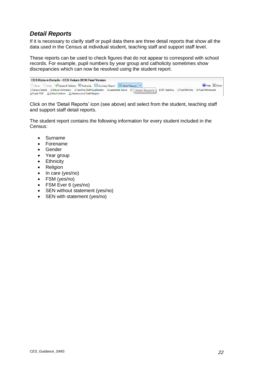#### <span id="page-21-0"></span>*Detail Reports*

If it is necessary to clarify staff or pupil data there are three detail reports that show all the data used in the Census at individual student, teaching staff and support staff level.

These reports can be used to check figures that do not appear to correspond with school records. For example, pupil numbers by year group and catholicity sometimes show discrepancies which can now be resolved using the student report.

| CES Return Details - CES Return 2016 Final Version                                                                                                              |  |  |                               |
|-----------------------------------------------------------------------------------------------------------------------------------------------------------------|--|--|-------------------------------|
| Save Undo Create & Validate Authorise <b>B</b> Summary Report <b>E</b> Detail Reports <b>*</b>                                                                  |  |  | <b>O</b> Help $\otimes$ Close |
| 1 Census Details 2 School Information 3 Teaching Staff Qualification 4 Leadership Group 51 Detail Reports   6 RE Teaching 7 Pupil Ethnicity 8 Pupil Withdrawals |  |  |                               |
| 9 Pupils FSM 10 School Uniform 11 Headcount of Staff Religion                                                                                                   |  |  |                               |

Click on the 'Detail Reports' icon (see above) and select from the student, teaching staff and support staff detail reports.

The student report contains the following information for every student included in the Census:

- Surname
- Forename
- Gender
- Year group
- Ethnicity
- Religion
- In care (yes/no)
- FSM (yes/no)
- FSM Ever 6 (yes/no)
- SEN without statement (yes/no)
- SEN with statement (yes/no)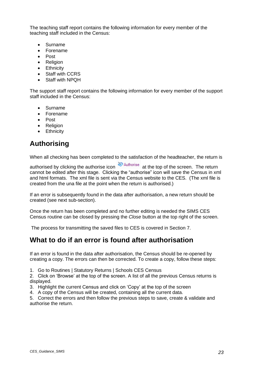The teaching staff report contains the following information for every member of the teaching staff included in the Census:

- Surname
- Forename
- Post
- Religion
- Ethnicity
- Staff with CCRS
- Staff with NPQH

The support staff report contains the following information for every member of the support staff included in the Census:

- **Surname**
- Forename
- Post
- Religion
- Ethnicity

# <span id="page-22-0"></span>**Authorising**

When all checking has been completed to the satisfaction of the headteacher, the return is

authorised by clicking the authorise icon  $\geq$  Authorise at the top of the screen. The return cannot be edited after this stage. Clicking the "authorise" icon will save the Census in xml and html formats. The xml file is sent via the Census website to the CES. (The xml file is created from the una file at the point when the return is authorised.)

If an error is subsequently found in the data after authorisation, a new return should be created (see next sub-section).

Once the return has been completed and no further editing is needed the SIMS CES Census routine can be closed by pressing the *Close* button at the top right of the screen.

The process for transmitting the saved files to CES is covered in Section 7.

### <span id="page-22-1"></span>**What to do if an error is found after authorisation**

If an error is found in the data after authorisation, the Census should be re-opened by creating a copy. The errors can then be corrected. To create a copy, follow these steps:

1. Go to Routines | Statutory Returns | Schools CES Census

2. Click on 'Browse' at the top of the screen. A list of all the previous Census returns is displayed.

- 3. Highlight the current Census and click on 'Copy' at the top of the screen
- 4. A copy of the Census will be created, containing all the current data.

5. Correct the errors and then follow the previous steps to save, create & validate and authorise the return.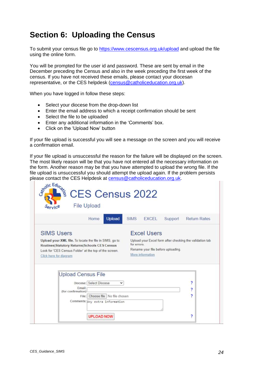# <span id="page-23-0"></span>**Section 6: Uploading the Census**

To submit your census file go to <https://www.cescensus.org.uk/upload> and upload the file using the online form.

You will be prompted for the user id and password. These are sent by email in the December preceding the Census and also in the week preceding the first week of the census. If you have not received these emails, please contact your diocesan representative, or the CES helpdesk [\(census@catholiceducation.org.uk\)](mailto:census@catholiceducation.org.uk).

When you have logged in follow these steps:

- Select your diocese from the drop-down list
- Enter the email address to which a receipt confirmation should be sent
- Select the file to be uploaded
- Enter any additional information in the 'Comments' box.
- Click on the 'Upload Now' button

If your file upload is successful you will see a message on the screen and you will receive a confirmation email.

If your file upload is unsuccessful the reason for the failure will be displayed on the screen. The most likely reason will be that you have not entered all the necessary information on the form. Another reason may be that you have attempted to upload the wrong file. If the file upload is unsuccessful you should attempt the upload again. If the problem persists please contact the CES Helpdesk at [census@catholiceducation.org.uk.](mailto:census@catholiceducation.org.uk)

| <b>Excel Users</b><br>Upload your Excel form after checking the validation tab<br>for errors.<br>Rename your file before uploading.<br>More information |        |
|---------------------------------------------------------------------------------------------------------------------------------------------------------|--------|
|                                                                                                                                                         |        |
|                                                                                                                                                         |        |
|                                                                                                                                                         |        |
| File: Choose file   No file chosen                                                                                                                      | 7<br>2 |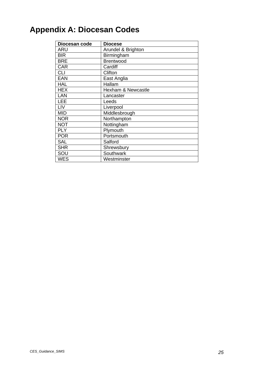# <span id="page-24-0"></span>**Appendix A: Diocesan Codes**

| Diocesan code | <b>Diocese</b>                |
|---------------|-------------------------------|
| <b>ARU</b>    | Arundel & Brighton            |
| <b>BIR</b>    | Birmingham                    |
| <b>BRE</b>    | <b>Brentwood</b>              |
| <b>CAR</b>    | Cardiff                       |
| <b>CLI</b>    | Clifton                       |
| <b>EAN</b>    | East Anglia                   |
| <b>HAL</b>    | Hallam                        |
| <b>HEX</b>    | <b>Hexham &amp; Newcastle</b> |
| LAN           | Lancaster                     |
| LEE           | Leeds                         |
| LIV           | Liverpool                     |
| <b>MID</b>    | Middlesbrough                 |
| <b>NOR</b>    | Northampton                   |
| <b>NOT</b>    | Nottingham                    |
| <b>PLY</b>    | Plymouth                      |
| <b>POR</b>    | Portsmouth                    |
| <b>SAL</b>    | Salford                       |
| <b>SHR</b>    | Shrewsbury                    |
| SOU           | Southwark                     |
| <b>WES</b>    | Westminster                   |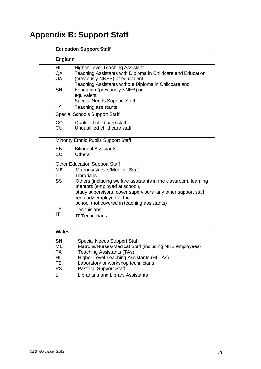# <span id="page-25-0"></span>**Appendix B: Support Staff**

| <b>Education Support Staff</b>                                |                                                                                                                                                                                                                                                                                                 |  |
|---------------------------------------------------------------|-------------------------------------------------------------------------------------------------------------------------------------------------------------------------------------------------------------------------------------------------------------------------------------------------|--|
| <b>England</b>                                                |                                                                                                                                                                                                                                                                                                 |  |
| HL<br>QA<br>UA                                                | <b>Higher Level Teaching Assistant</b><br>Teaching Assistants with Diploma in Childcare and Education<br>(previously NNEB) or equivalent<br>Teaching Assistants without Diploma in Childcare and                                                                                                |  |
| <b>SN</b>                                                     | Education (previously NNEB) or<br>equivalent<br><b>Special Needs Support Staff</b>                                                                                                                                                                                                              |  |
| <b>TA</b>                                                     | Teaching assistants                                                                                                                                                                                                                                                                             |  |
| <b>Special Schools Support Staff</b>                          |                                                                                                                                                                                                                                                                                                 |  |
| <b>CQ</b><br><b>CU</b>                                        | Qualified child care staff<br>Unqualified child care staff                                                                                                                                                                                                                                      |  |
|                                                               | Minority Ethnic Pupils Support Staff                                                                                                                                                                                                                                                            |  |
| EB<br>EO                                                      | <b>Bilingual Assistants</b><br><b>Others</b>                                                                                                                                                                                                                                                    |  |
|                                                               | <b>Other Education Support Staff</b>                                                                                                                                                                                                                                                            |  |
| МE<br>LI.<br><b>SS</b>                                        | Matrons/Nurses/Medical Staff<br>Librarians<br>Others (including welfare assistants in the classroom, learning                                                                                                                                                                                   |  |
| TE<br>ΙT                                                      | mentors (employed at school),<br>study supervisors, cover supervisors, any other support staff<br>regularly employed at the<br>school (not covered in teaching assistants)<br>Technicians<br><b>IT Technicians</b>                                                                              |  |
| <b>Wales</b>                                                  |                                                                                                                                                                                                                                                                                                 |  |
| SN<br>MЕ<br>TA<br>HL.<br>TE<br><b>PS</b><br>$\lfloor \rfloor$ | <b>Special Needs Support Staff</b><br>Matrons/Nurses/Medical Staff (including NHS employees)<br><b>Teaching Assistants (TAs)</b><br><b>Higher Level Teaching Assistants (HLTAs)</b><br>Laboratory or workshop technicians<br><b>Pastoral Support Staff</b><br>Librarians and Library Assistants |  |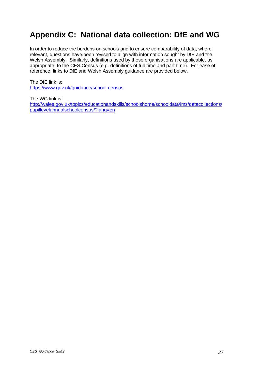# <span id="page-26-0"></span>**Appendix C: National data collection: DfE and WG**

In order to reduce the burdens on schools and to ensure comparability of data, where relevant, questions have been revised to align with information sought by DfE and the Welsh Assembly. Similarly, definitions used by these organisations are applicable, as appropriate, to the CES Census (e.g. definitions of full-time and part-time). For ease of reference, links to DfE and Welsh Assembly guidance are provided below.

The DfE link is: <https://www.gov.uk/guidance/school-census>

The WG link is: [http://wales.gov.uk/topics/educationandskills/schoolshome/schooldata/ims/datacollections/](http://wales.gov.uk/topics/educationandskills/schoolshome/schooldata/ims/datacollections/pupillevelannualschoolcensus/?lang=en) [pupillevelannualschoolcensus/?lang=en](http://wales.gov.uk/topics/educationandskills/schoolshome/schooldata/ims/datacollections/pupillevelannualschoolcensus/?lang=en)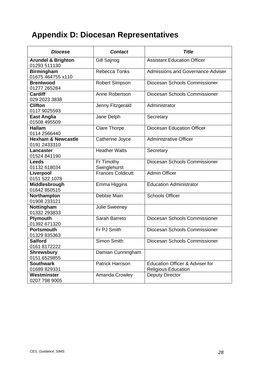# <span id="page-27-0"></span>**Appendix D: Diocesan Representatives**

| <b>Diocese</b>                                | <b>Contact</b>             | <b>Title</b>                                                  |
|-----------------------------------------------|----------------------------|---------------------------------------------------------------|
| <b>Arundel &amp; Brighton</b><br>01293 511130 | Gill Sajnog                | <b>Assistant Education Officer</b>                            |
| <b>Birmingham</b><br>01675 464755 x110        | Rebecca Tonks              | <b>Admissions and Governance Adviser</b>                      |
| <b>Brentwood</b><br>01277 265284              | <b>Robert Simpson</b>      | Diocesan Schools Commissioner                                 |
| <b>Cardiff</b><br>029 2023 3838               | Anne Robertson             | Diocesan Schools Commissioner                                 |
| <b>Clifton</b><br>0117 9025593                | Jenny Fitzgerald           | Administrator                                                 |
| <b>East Anglia</b><br>01508 495509            | Jane Delph                 | Secretary                                                     |
| <b>Hallam</b><br>0114 2566440                 | <b>Clare Thorpe</b>        | <b>Diocesan Education Officer</b>                             |
| <b>Hexham &amp; Newcastle</b><br>0191 2433310 | Catherine Joyce            | <b>Administrative Officer</b>                                 |
| <b>Lancaster</b><br>01524 841190              | <b>Heather Watts</b>       | Secretary                                                     |
| <b>Leeds</b><br>01132 618034                  | Fr Timothy<br>Swinglehurst | Diocesan Schools Commissioner                                 |
| Liverpool<br>0151 522 1078                    | <b>Frances Coldicutt</b>   | <b>Admin Officer</b>                                          |
| Middlesbrough<br>01642 850515                 | Emma Higgins               | <b>Education Administrator</b>                                |
| Northampton<br>01908 233121                   | Debbie Main                | <b>Schools Officer</b>                                        |
| Nottingham<br>01332 293833                    | Julie Sweeney              |                                                               |
| Plymouth<br>01392 671320                      | Sarah Barreto              | Diocesan Schools Commissioner                                 |
| <b>Portsmouth</b><br>01329 835363             | Fr PJ Smith                | Diocesan Schools Commissioner                                 |
| <b>Salford</b><br>0161 8172222                | Simon Smith                | Diocesan Schools Commissioner                                 |
| <b>Shrewsbury</b><br>0151 6529855             | Damian Cunningham          |                                                               |
| <b>Southwark</b><br>01689 829331              | <b>Patrick Harrison</b>    | Education Officer & Adviser for<br><b>Religious Education</b> |
| Westminster<br>0207 798 9005                  | Amanda Crowley             | <b>Deputy Director</b>                                        |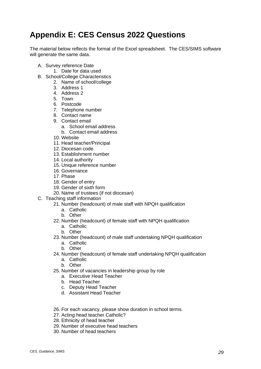# <span id="page-28-0"></span>**Appendix E: CES Census 2022 Questions**

The material below reflects the format of the Excel spreadsheet. The CES/SIMS software will generate the same data.

- A. Survey reference Date
	- 1. Date for data used
- B. School/College Characteristics
	- 2. Name of school/college
		- 3. Address 1
		- 4. Address 2
		- 5. Town
		- 6. Postcode
		- 7. Telephone number
		- 8. Contact name
		- 9. Contact email
			- a. School email address
			- b. Contact email address
		- 10. Website
		- 11. Head teacher/Principal
		- 12. Diocesan code
		- 13. Establishment number
		- 14. Local authority
		- 15. Unique reference number
		- 16. Governance
		- 17. Phase
		- 18. Gender of entry
		- 19. Gender of sixth form
		- 20. Name of trustees (if not diocesan)
- C. Teaching staff information
	- 21. Number (headcount) of male staff with NPQH qualification
		- a. Catholic
		- b. Other
	- 22. Number (headcount) of female staff with NPQH qualification
		- a. Catholic
		- b. Other
	- 23. Number (headcount) of male staff undertaking NPQH qualification
		- a. Catholic
		- b. Other
	- 24. Number (headcount) of female staff undertaking NPQH qualification
		- a. Catholic
		- b. Other
	- 25. Number of vacancies in leadership group by role
		- a. Executive Head Teacher
		- b. Head Teacher
		- c. Deputy Head Teacher
		- d. Assistant Head Teacher
	- 26. For each vacancy, please show duration in school terms.
	- 27. Acting head teacher Catholic?
	- 28. Ethnicity of head teacher
	- 29. Number of executive head teachers
	- 30. Number of head teachers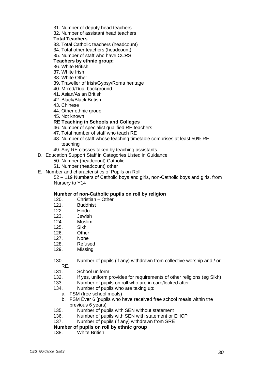- 31. Number of deputy head teachers
- 32. Number of assistant head teachers

#### **Total Teachers**

- 33. Total Catholic teachers (headcount)
- 34. Total other teachers (headcount)
- 35. Number of staff who have CCRS

#### **Teachers by ethnic group:**

- 36. White British
- 37. White Irish
- 38. White Other
- 39. Traveller of Irish/Gypsy/Roma heritage
- 40. Mixed/Dual background
- 41. Asian/Asian British
- 42. Black/Black British
- 43. Chinese
- 44. Other ethnic group
- 45. Not known

#### **RE Teaching in Schools and Colleges**

- 46. Number of specialist qualified RE teachers
- 47. Total number of staff who teach RE
- 48. Number of staff whose teaching timetable comprises at least 50% RE teaching
- 49. Any RE classes taken by teaching assistants
- D. Education Support Staff in Categories Listed in Guidance
	- 50. Number (headcount) Catholic
	- 51. Number (headcount) other
- E. Number and characteristics of Pupils on Roll

52 – 119 Numbers of Catholic boys and girls, non-Catholic boys and girls, from Nursery to Y14

#### **Number of non-Catholic pupils on roll by religion**

- 120. Christian Other
- 121. Buddhist
- 122. Hindu
- 123. Jewish
- 124. Muslim
- 125. Sikh
- 126. Other
- 127. None
- 128. Refused
- 129. Missing
- 130. Number of pupils (if any) withdrawn from collective worship and / or RE.
- 131. School uniform
- 132. If yes, uniform provides for requirements of other religions (eg Sikh)
- 133. Number of pupils on roll who are in care/looked after
- 134. Number of pupils who are taking up:
	- a. FSM (free school meals)
	- b. FSM Ever 6 (pupils who have received free school meals within the previous 6 years)
- 135. Number of pupils with SEN without statement
- 136. Number of pupils with SEN with statement or EHCP
- 137. Number of pupils (if any) withdrawn from SRE

#### **Number of pupils on roll by ethnic group**

138. White British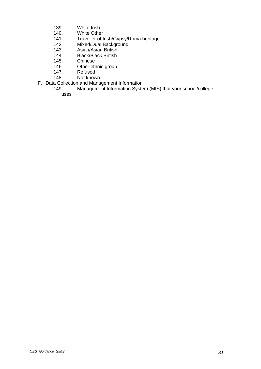- 139. White Irish<br>140. White Othe
- 140. White Other<br>141. Traveller of I
- 141. Traveller of Irish/Gypsy/Roma heritage<br>142. Mixed/Dual Background
- 142. Mixed/Dual Background<br>143. Asian/Asian British
- 143. Asian/Asian British<br>144. Black/Black British
- 144. Black/Black British<br>145. Chinese
- 145. Chinese<br>146. Other eth
- 146. Other ethnic group<br>147. Refused
- 147. Refused<br>148. Not knov
- Not known
- F. Data Collection and Management Information<br>149. Management Information Syste
	- Management Information System (MIS) that your school/college uses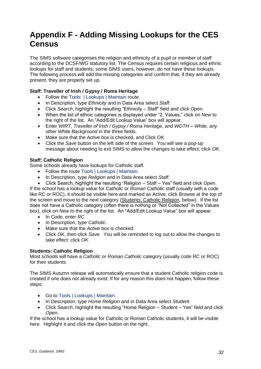# <span id="page-31-0"></span>**Appendix F - Adding Missing Lookups for the CES Census**

The SIMS software categorises the religion and ethnicity of a pupil or member of staff according to the DCSF/WG statutory list. The Census requires certain religious and ethnic lookups for staff and students; some SIMS users, however, do not have these lookups. The following process will add the missing categories and confirm that, if they are already present, they are properly set up.

#### **Staff: Traveller of Irish / Gypsy / Roma Heritage**

- Follow the Tools | Lookups | Maintain route.
- In Description, type *Ethnicity* and in Data Area select *Staff*.
- Click *Search*, highlight the resulting "Ethnicity Staff" field and click *Open*.
- When the list of ethnic categories is displayed under "2. Values," click on *New* to the right of the list. An "Add/Edit Lookup Value" box will appear.
- Enter *WIRT*, *Traveller of Irish / Gypsy / Roma Heritage*, and *WOTH – White, any other White Background* in the three fields.
- Make sure that the Active box is checked, and Click *OK*.
- Click the *Save* button on the left side of the screen. You will see a pop-up message about needing to exit SIMS to allow the changes to take effect; click *OK*.

#### **Staff: Catholic Religion**

Some schools already have lookups for Catholic staff.

- Follow the route Tools | Lookups | Maintain.
- In Description, type *Religion* and in Data Area select *Staff*.

• Click Search, highlight the resulting "Religion – Staff – Yes" field and click *Open*. If the school has a lookup value for *Catholic* or *Roman Catholic* staff (usually with a code like RC or ROC), it should be visible here and marked as Active; click Browse at the top of the screen and move to the next category (Students: Catholic Religion, below). If the list does not have a Catholic category (often there is nothing or "Not Collected" in the Values box), click on *New* to the right of the list. An "Add/Edit Lookup Value" box will appear.

- In Code, enter *RC*.
- In Description, type *Catholic*.
- Make sure that the *Active* box is checked.
- Click *OK*, then click *Save*. You will be reminded to log out to allow the changes to take effect: click *OK*.

#### **Students: Catholic Religion**

Most schools will have a *Catholic* or *Roman Catholic* category (usually code RC or ROC) for their students.

The SIMS Autumn release will automatically ensure that a student Catholic religion code is created if one does not already exist. If for any reason this does not happen, follow these steps:

- Go to Tools | Lookups | Maintain
- In Description, type *Home Religion* and in Data Area select *Student*.
- Click *Search*, highlight the resulting "Home Religion Student Yes" field and click *Open*.

If the school has a lookup value for Catholic or Roman Catholic students, it will be visible here. Highlight it and click the *Open* button on the right.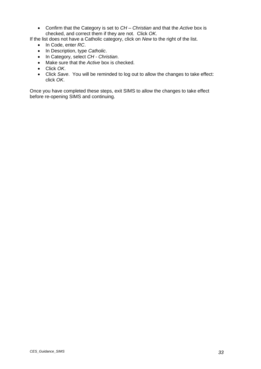• Confirm that the Category is set to *CH – Christian* and that the *Active* box is checked, and correct them if they are not. Click *OK*.

If the list does not have a Catholic category, click on *New* to the right of the list.

- In Code, enter *RC*.
- In Description, type *Catholic*.
- In Category, select *CH - Christian*.
- Make sure that the *Active* box is checked.
- Click *OK*.
- Click *Save*. You will be reminded to log out to allow the changes to take effect: click *OK*.

Once you have completed these steps, exit SIMS to allow the changes to take effect before re-opening SIMS and continuing.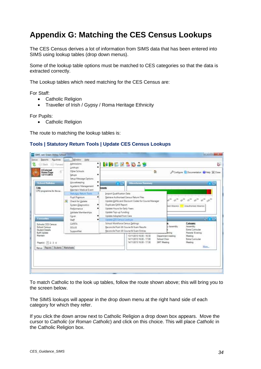# <span id="page-33-0"></span>**Appendix G: Matching the CES Census Lookups**

The CES Census derives a lot of information from SIMS data that has been entered into SIMS using lookup tables (drop down menus).

Some of the lookup table options must be matched to CES categories so that the data is extracted correctly.

The Lookup tables which need matching for the CES Census are:

For Staff:

- Catholic Religion
- Traveller of Irish / Gypsy / Roma Heritage Ethnicity

For Pupils:

• Catholic Religion

The route to matching the lookup tables is:

#### **Tools | Statutory Return Tools | Update CES Census Lookups**

| Routines<br>Seports<br>Focus<br>Forward<br>Back.                                                                                 | Window<br>Tools.<br>Admissions:                                                                                                | Help.<br>$^{\bullet}$ 1                 | MRDZSD2S                                                                                                                                                                                                      |                                                          | ig.                                                                    |
|----------------------------------------------------------------------------------------------------------------------------------|--------------------------------------------------------------------------------------------------------------------------------|-----------------------------------------|---------------------------------------------------------------------------------------------------------------------------------------------------------------------------------------------------------------|----------------------------------------------------------|------------------------------------------------------------------------|
| <b>A External</b><br><b>Home Page</b><br>12/11/2013                                                                              | Lookups<br>Other Schools<br>Setups                                                                                             | Setup Message Options                   | 鱼                                                                                                                                                                                                             |                                                          | P Compute Documentation C Help 32 Close                                |
| School Bulkans<br>Title<br>CPD programme for the au.                                                                             | Housekeeping<br>Maintain Medical Event                                                                                         | ٠<br>٠<br>Academic Management<br>hments | <b>Altendance Surroury</b><br>75                                                                                                                                                                              |                                                          |                                                                        |
|                                                                                                                                  | Statutory Fature Tools<br>Pupil Premium<br>æ<br>Check for Lindate<br>System Diagnostics<br>Performance<br>Validate Memberships | Duplicate QAN Report                    | Import Qualification Data<br>Retneve Authorised Census Return Files<br>Update QANs and Discount Codes for Course Manager<br>Update Hours for Early Years<br>Update Top-up Funding<br>Update Adopted from Care | bott Absence                                             | <b>Unauthorised Absence</b>                                            |
| Cover.<br>Favournos<br>Staff<br>CAPITA<br>Schools CES Census<br>School Cereus<br>SCILUS<br><b>Student Details</b><br>SupportNet. |                                                                                                                                |                                         | Update CES Cermin Leokum<br>School Workforce Census Settings<br>Reconcile Post-16 Course & Exam Results<br>Beconcile Post-16 Course & Exam Entries                                                            | Assembly                                                 | <b>NAMES</b><br><b>Category</b><br>Assembly<br><b>Extra</b> Curricular |
| BulK Update<br>Maintain<br>Page(a): 11 2 3 4                                                                                     |                                                                                                                                |                                         | 13/11/2013 16:00 - 16:30<br>14/11/2013 16:00 - 17:00<br>14/11/2013 16:00 - 17:30                                                                                                                              | Department meeting<br><b>School Choir</b><br>SMT Meeting | Parents' Evening<br>Meeting<br>Extra Cutticular<br>Meeting<br>Mors     |
| Mercis Reports Students Mercaheets                                                                                               |                                                                                                                                |                                         |                                                                                                                                                                                                               |                                                          |                                                                        |

To match Catholic to the look up tables, follow the route shown above; this will bring you to the screen below.

The SIMS lookups will appear in the drop down menu at the right hand side of each category for which they refer.

If you click the down arrow next to Catholic Religion a drop down box appears. Move the cursor to *Catholic* (or *Roman Catholic*) and click on this choice. This will place *Catholic* in the Catholic Religion box.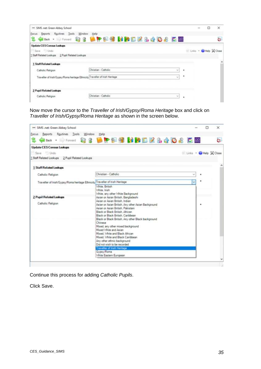| - SIMS .net: Green Abbey School                                                          |                      |  |        |   | о                    | ×  |
|------------------------------------------------------------------------------------------|----------------------|--|--------|---|----------------------|----|
| Reports Routines<br>Window<br>Focus<br>Tools<br><b>Case · Witness 833 日中国引出的区区出会口名区盟</b> | Help                 |  |        |   |                      | Ġ. |
| <b>Update CES Census Lookups</b>                                                         |                      |  |        |   |                      |    |
| Save Undo                                                                                |                      |  |        |   | Links - Help & Close |    |
| 1 Staff Related Lookups 2 Pupil Related Lookups                                          |                      |  |        |   |                      |    |
| <b>Staff Related Lookups</b>                                                             |                      |  |        |   |                      | ۸  |
| Catholic Religion                                                                        | Christian - Catholic |  | $\sim$ | ٠ |                      |    |
| Traveller of Irish/Gypsy/Roma heritage Ethnicity Traveller of Irish Heritage             |                      |  | $\sim$ | ٠ |                      |    |
| <b>2 Pupil Related Lookups</b>                                                           |                      |  |        |   |                      |    |
| Catholic Religion                                                                        | Christian - Catholic |  | ×      | ٠ |                      |    |
|                                                                                          |                      |  |        |   |                      |    |

Now move the cursor to the *Traveller of Irish/Gypsy/Roma Heritage* box and click on *Traveller of Irish/Gypsy/Roma Heritage* as shown in the screen below.

| == SIMS .net: Green Abbey School                                             |                                                                                                                                                                                                                                                                                                                                                                                                                                                                                                                                                                                                                                                                  | $\times$             |
|------------------------------------------------------------------------------|------------------------------------------------------------------------------------------------------------------------------------------------------------------------------------------------------------------------------------------------------------------------------------------------------------------------------------------------------------------------------------------------------------------------------------------------------------------------------------------------------------------------------------------------------------------------------------------------------------------------------------------------------------------|----------------------|
| Routines Tools Window Help<br>Focus<br><b>Reports</b>                        |                                                                                                                                                                                                                                                                                                                                                                                                                                                                                                                                                                                                                                                                  |                      |
|                                                                              | Book - Differenced & 8 Life & 9 Million & & 4 O & C. 22                                                                                                                                                                                                                                                                                                                                                                                                                                                                                                                                                                                                          | Ğ.                   |
| <b>Update CES Census Lookups</b>                                             |                                                                                                                                                                                                                                                                                                                                                                                                                                                                                                                                                                                                                                                                  |                      |
| Save Undo                                                                    |                                                                                                                                                                                                                                                                                                                                                                                                                                                                                                                                                                                                                                                                  | Links - Help X Close |
| 1 Staff Related Lookups 2 Pupil Related Lookups                              |                                                                                                                                                                                                                                                                                                                                                                                                                                                                                                                                                                                                                                                                  |                      |
| 1 Staff Related Lookups                                                      |                                                                                                                                                                                                                                                                                                                                                                                                                                                                                                                                                                                                                                                                  |                      |
| Catholic Religion                                                            | Christian - Catholic                                                                                                                                                                                                                                                                                                                                                                                                                                                                                                                                                                                                                                             |                      |
| Traveller of Irish/Gypsy/Roma heritage Ethnicity Traveller of Irish Heritage | ü                                                                                                                                                                                                                                                                                                                                                                                                                                                                                                                                                                                                                                                                |                      |
| 2 Pupil Related Lookups<br>Catholic Religion                                 | White, British<br>White, Irish<br>White, any other White Background<br>Asian or Asian British, Bangladeshi<br>Asian or Asian British, Indian<br>Asian or Asian British, Any other Asian Background<br>Asian or Asian British, Pakistani<br>Black or Black British, African<br>Black or Black British, Caribbean<br>Black or Black British, Any other Black background<br>Chinese<br>Mixed, any other mixed background<br>Mixed White and Asian<br>Mixed. White and Black African<br>Mixed. White and Black Caribbean<br>Any other ethnic background<br>Did not wish to be recorded<br><b>Traveller of Irish Heritage</b><br>Gypsy/Roma<br>White Eastern European |                      |

Continue this process for adding *Catholic Pupils*.

Click Save.